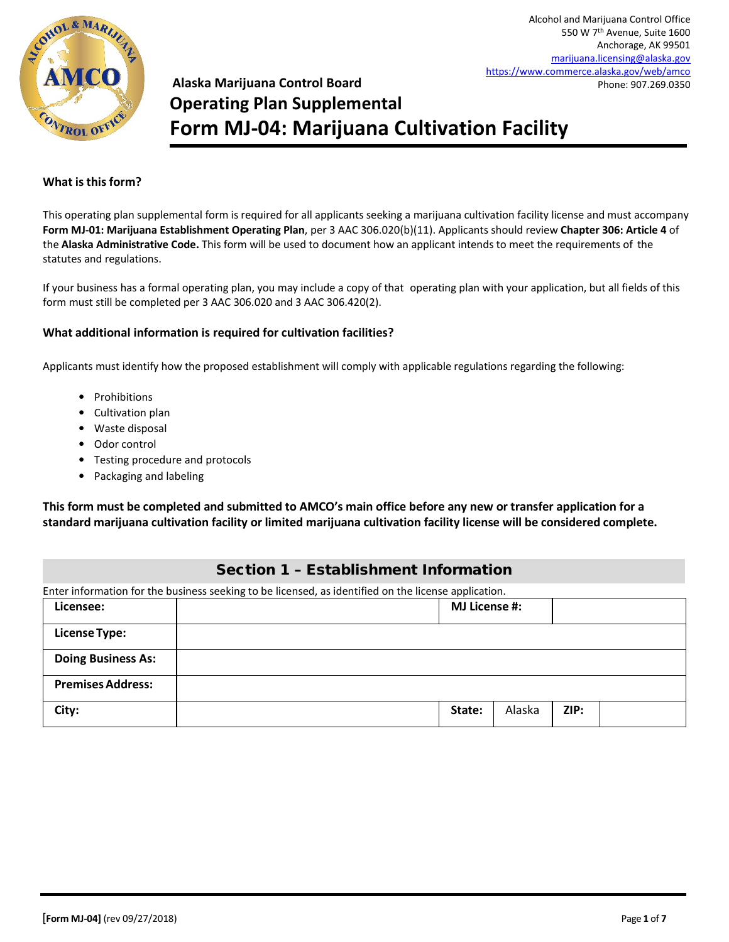

# **Alaska Marijuana Control Board Operating Plan Supplemental Form MJ-04: Marijuana Cultivation Facility**

#### **What isthisform?**

This operating plan supplemental form is required for all applicants seeking a marijuana cultivation facility license and must accompany **Form MJ-01: Marijuana Establishment Operating Plan**, per 3 AAC 306.020(b)(11). Applicants should review **Chapter 306: Article 4** of the **Alaska Administrative Code.** This form will be used to document how an applicant intends to meet the requirements of the statutes and regulations.

If your business has a formal operating plan, you may include a copy of that operating plan with your application, but all fields of this form must still be completed per 3 AAC 306.020 and 3 AAC 306.420(2).

#### **What additional information is required for cultivation facilities?**

Applicants must identify how the proposed establishment will comply with applicable regulations regarding the following:

- Prohibitions
- Cultivation plan
- Waste disposal
- Odor control
- Testing procedure and protocols
- Packaging and labeling

**This form must be completed and submitted to AMCO's main office before any new or transfer application for a standard marijuana cultivation facility or limited marijuana cultivation facility license will be considered complete.**

# Section 1 – Establishment Information

| Enter information for the business seeking to be licensed, as identified on the license application. |        |                      |      |  |
|------------------------------------------------------------------------------------------------------|--------|----------------------|------|--|
| Licensee:                                                                                            |        | <b>MJ License #:</b> |      |  |
| <b>License Type:</b>                                                                                 |        |                      |      |  |
| <b>Doing Business As:</b>                                                                            |        |                      |      |  |
| <b>Premises Address:</b>                                                                             |        |                      |      |  |
| City:                                                                                                | State: | Alaska               | ZIP: |  |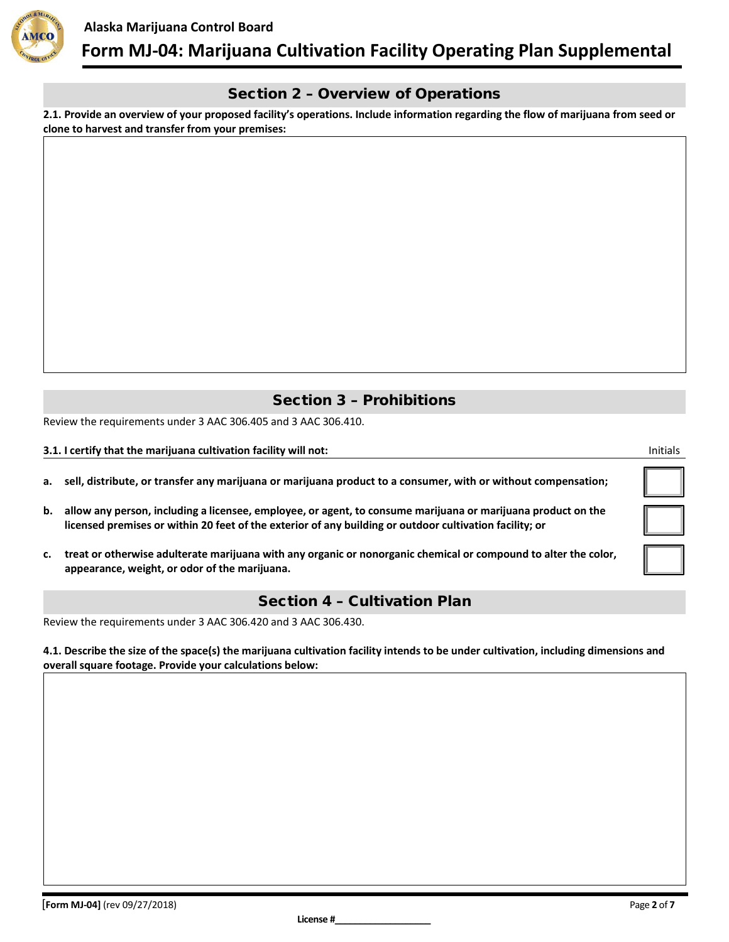

# Section 2 – Overview of Operations

**2.1. Provide an overview of your proposed facility's operations. Include information regarding the flow of marijuana from seed or clone to harvest and transfer from your premises:**

# Section 3 – Prohibitions

Review the requirements under 3 AAC 306.405 and 3 AAC 306.410.

#### **3.1. I certify that the marijuana cultivation facility will not:** Initials

|  | a. sell, distribute, or transfer any marijuana or marijuana product to a consumer, with or without compensation; |  |  |  |  |  |  |  |
|--|------------------------------------------------------------------------------------------------------------------|--|--|--|--|--|--|--|
|--|------------------------------------------------------------------------------------------------------------------|--|--|--|--|--|--|--|

- **b. allow any person, including a licensee, employee, or agent, to consume marijuana or marijuana product on the licensed premises or within 20 feet of the exterior of any building or outdoor cultivation facility; or**
- **c. treat or otherwise adulterate marijuana with any organic or nonorganic chemical or compound to alter the color, appearance, weight, or odor of the marijuana.**

### Section 4 – Cultivation Plan

Review the requirements under 3 AAC 306.420 and 3 AAC 306.430.

**4.1. Describe the size of the space(s) the marijuana cultivation facility intends to be under cultivation, including dimensions and overall square footage. Provide your calculations below:**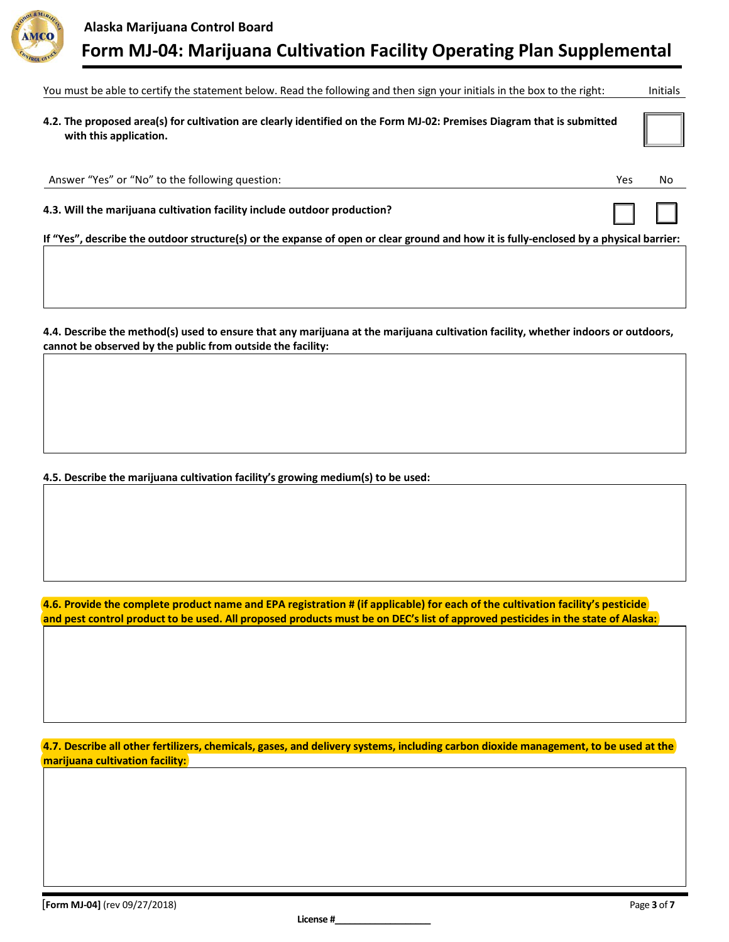

| You must be able to certify the statement below. Read the following and then sign your initials in the box to the right:                         |     |    |  |  |  |
|--------------------------------------------------------------------------------------------------------------------------------------------------|-----|----|--|--|--|
| 4.2. The proposed area(s) for cultivation are clearly identified on the Form MJ-02: Premises Diagram that is submitted<br>with this application. |     |    |  |  |  |
| Answer "Yes" or "No" to the following question:                                                                                                  | Yes | No |  |  |  |
| 4.3. Will the marijuana cultivation facility include outdoor production?                                                                         |     |    |  |  |  |
| If "Yes", describe the outdoor structure(s) or the expanse of open or clear ground and how it is fully-enclosed by a physical barrier:           |     |    |  |  |  |
|                                                                                                                                                  |     |    |  |  |  |

**4.4. Describe the method(s) used to ensure that any marijuana at the marijuana cultivation facility, whether indoors or outdoors, cannot be observed by the public from outside the facility:**

**4.5. Describe the marijuana cultivation facility's growing medium(s) to be used:**

**4.6. Provide the complete product name and EPA registration # (if applicable) for each of the cultivation facility's pesticide and pest control product to be used. All proposed products must be on DEC's list of approved pesticides in the state of Alaska:**

**4.7. Describe all other fertilizers, chemicals, gases, and delivery systems, including carbon dioxide management, to be used at the marijuana cultivation facility:**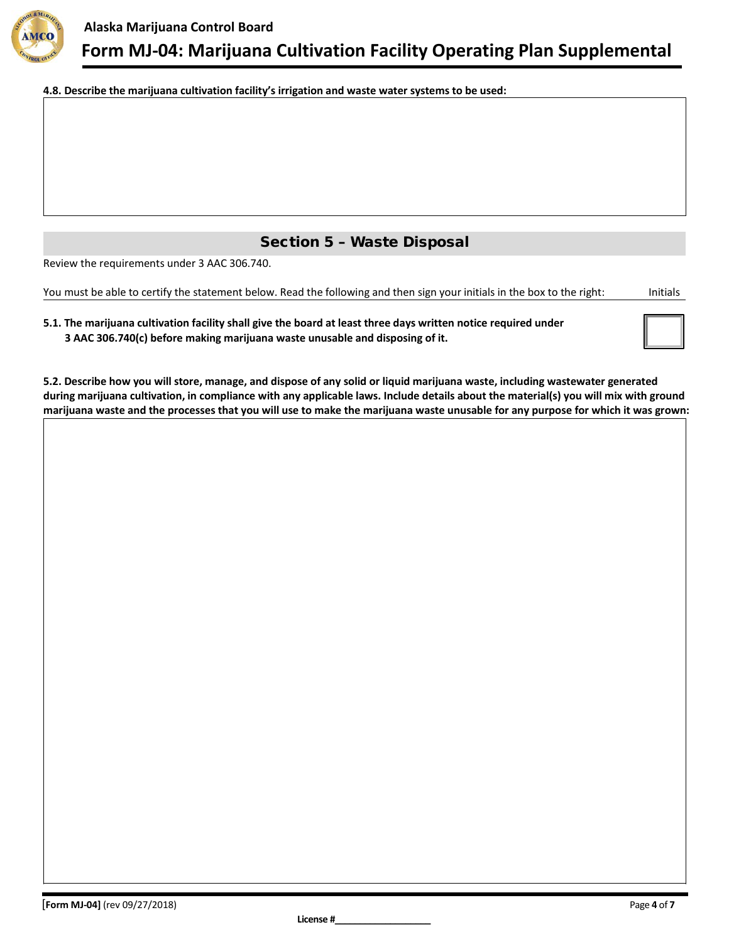

**4.8. Describe the marijuana cultivation facility's irrigation and waste water systems to be used:**

# Section 5 – Waste Disposal

Review the requirements under 3 AAC 306.740.

You must be able to certify the statement below. Read the following and then sign your initials in the box to the right: Initials

| 5.1. The marijuana cultivation facility shall give the board at least three days written notice required under |
|----------------------------------------------------------------------------------------------------------------|
| 3 AAC 306.740(c) before making marijuana waste unusable and disposing of it.                                   |

**5.2. Describe how you will store, manage, and dispose of any solid or liquid marijuana waste, including wastewater generated during marijuana cultivation, in compliance with any applicable laws. Include details about the material(s) you will mix with ground marijuana waste and the processes that you will use to make the marijuana waste unusable for any purpose for which it was grown:**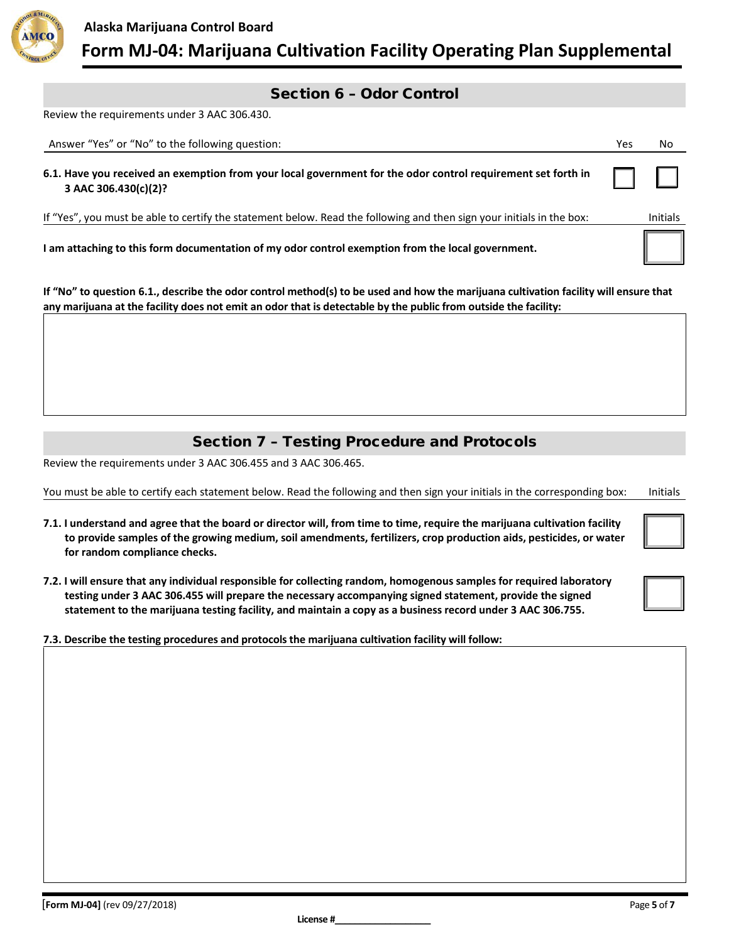

### Section 6 – Odor Control

Review the requirements under 3 AAC 306.430.

| Answer "Yes" or "No" to the following question:                                                                                      | Yes | No              |
|--------------------------------------------------------------------------------------------------------------------------------------|-----|-----------------|
| 6.1. Have you received an exemption from your local government for the odor control requirement set forth in<br>3 AAC 306.430(c)(2)? |     | $\Box$          |
| If "Yes", you must be able to certify the statement below. Read the following and then sign your initials in the box:                |     | <b>Initials</b> |
| I am attaching to this form documentation of my odor control exemption from the local government.                                    |     |                 |

**If "No" to question 6.1., describe the odor control method(s) to be used and how the marijuana cultivation facility will ensure that any marijuana at the facility does not emit an odor that is detectable by the public from outside the facility:**

# Section 7 – Testing Procedure and Protocols

Review the requirements under 3 AAC 306.455 and 3 AAC 306.465.

You must be able to certify each statement below. Read the following and then sign your initials in the corresponding box: Initials

- **7.1. I understand and agree that the board or director will, from time to time, require the marijuana cultivation facility to provide samples of the growing medium, soil amendments, fertilizers, crop production aids, pesticides, or water for random compliance checks.**
- **7.2. I will ensure that any individual responsible for collecting random, homogenous samples for required laboratory testing under 3 AAC 306.455 will prepare the necessary accompanying signed statement, provide the signed statement to the marijuana testing facility, and maintain a copy as a business record under 3 AAC 306.755.**
- **7.3. Describe the testing procedures and protocols the marijuana cultivation facility will follow:**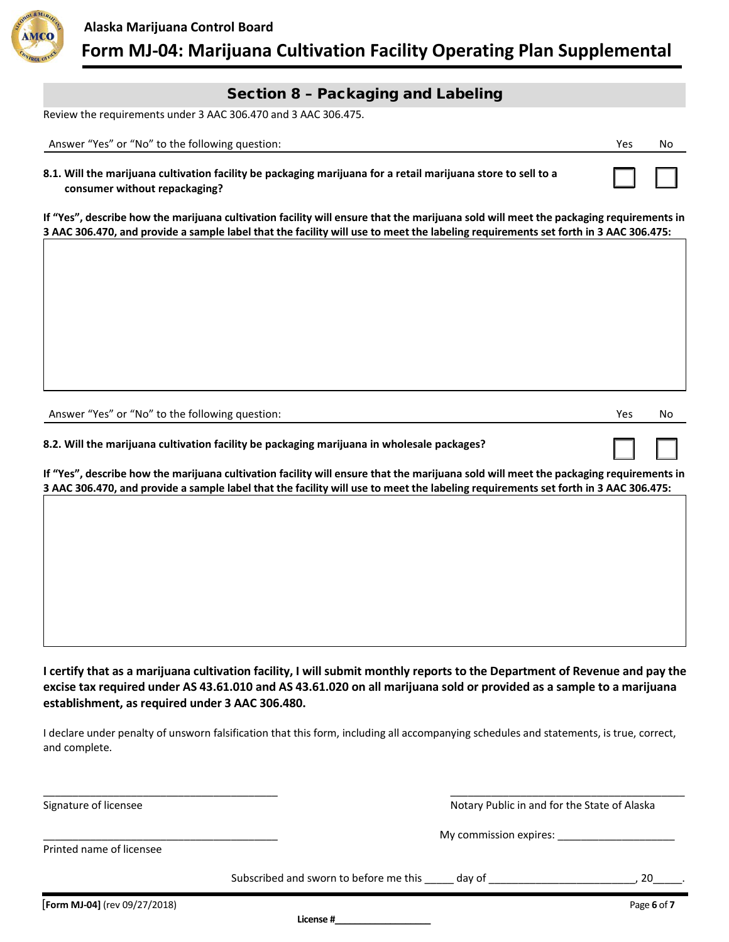

## Section 8 – Packaging and Labeling

Review the requirements under 3 AAC 306.470 and 3 AAC 306.475.

| Answer "Yes" or "No" to the following question:                                                                                                | Yes | No. |
|------------------------------------------------------------------------------------------------------------------------------------------------|-----|-----|
| 8.1. Will the marijuana cultivation facility be packaging marijuana for a retail marijuana store to sell to a<br>consumer without repackaging? |     |     |

**If "Yes", describe how the marijuana cultivation facility will ensure that the marijuana sold will meet the packaging requirements in 3 AAC 306.470, and provide a sample label that the facility will use to meet the labeling requirements set forth in 3 AAC 306.475:**

Answer "Yes" or "No" to the following question: Now we are not a set of the following question: Now we are not a set of the following question: Now we are not a set of the following question:

☐ ☐

**8.2. Will the marijuana cultivation facility be packaging marijuana in wholesale packages?**

**If "Yes", describe how the marijuana cultivation facility will ensure that the marijuana sold will meet the packaging requirements in 3 AAC 306.470, and provide a sample label that the facility will use to meet the labeling requirements set forth in 3 AAC 306.475:**

**I certify that as a marijuana cultivation facility, I will submit monthly reports to the Department of Revenue and pay the excise tax required under AS 43.61.010 and AS 43.61.020 on all marijuana sold or provided as a sample to a marijuana establishment, as required under 3 AAC 306.480.**

I declare under penalty of unsworn falsification that this form, including all accompanying schedules and statements, is true, correct, and complete.

\_\_\_\_\_\_\_\_\_\_\_\_\_\_\_\_\_\_\_\_\_\_\_\_\_\_\_\_\_\_\_\_\_\_\_\_\_\_\_\_ \_\_\_\_\_\_\_\_\_\_\_\_\_\_\_\_\_\_\_\_\_\_\_\_\_\_\_\_\_\_\_\_\_\_\_\_\_\_\_\_

Signature of licensee Notary Public in and for the State of Alaska

\_\_\_\_\_\_\_\_\_\_\_\_\_\_\_\_\_\_\_\_\_\_\_\_\_\_\_\_\_\_\_\_\_\_\_\_\_\_\_\_ My commission expires: \_\_\_\_\_\_\_\_\_\_\_\_\_\_\_\_\_\_\_\_

Printed name of licensee

Subscribed and sworn to before me this \_\_\_\_\_\_ day of \_\_\_\_\_\_\_\_\_\_\_\_\_\_\_\_\_\_\_\_\_\_\_\_\_\_, 20

**License #\_\_\_\_\_\_\_\_\_\_\_\_\_\_\_\_\_\_\_**